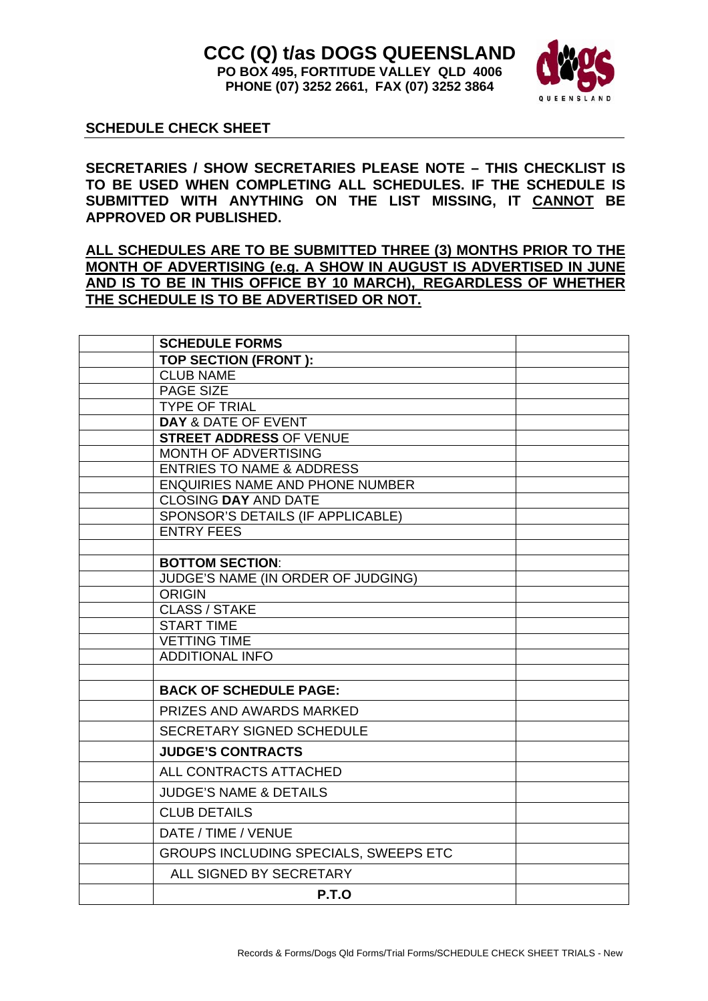

## **SCHEDULE CHECK SHEET**

**SECRETARIES / SHOW SECRETARIES PLEASE NOTE – THIS CHECKLIST IS TO BE USED WHEN COMPLETING ALL SCHEDULES. IF THE SCHEDULE IS SUBMITTED WITH ANYTHING ON THE LIST MISSING, IT CANNOT BE APPROVED OR PUBLISHED.** 

**ALL SCHEDULES ARE TO BE SUBMITTED THREE (3) MONTHS PRIOR TO THE MONTH OF ADVERTISING (e.g. A SHOW IN AUGUST IS ADVERTISED IN JUNE**  AND IS TO BE IN THIS OFFICE BY 10 MARCH), REGARDLESS OF WHETHER **THE SCHEDULE IS TO BE ADVERTISED OR NOT.**

| <b>SCHEDULE FORMS</b>                                                          |  |
|--------------------------------------------------------------------------------|--|
| TOP SECTION (FRONT):                                                           |  |
| <b>CLUB NAME</b>                                                               |  |
| <b>PAGE SIZE</b>                                                               |  |
| <b>TYPE OF TRIAL</b>                                                           |  |
| <b>DAY &amp; DATE OF EVENT</b>                                                 |  |
| <b>STREET ADDRESS OF VENUE</b>                                                 |  |
| MONTH OF ADVERTISING                                                           |  |
| <b>ENTRIES TO NAME &amp; ADDRESS</b><br><b>ENQUIRIES NAME AND PHONE NUMBER</b> |  |
| <b>CLOSING DAY AND DATE</b>                                                    |  |
| SPONSOR'S DETAILS (IF APPLICABLE)                                              |  |
| <b>ENTRY FEES</b>                                                              |  |
|                                                                                |  |
| <b>BOTTOM SECTION:</b>                                                         |  |
| JUDGE'S NAME (IN ORDER OF JUDGING)                                             |  |
| <b>ORIGIN</b>                                                                  |  |
| <b>CLASS / STAKE</b>                                                           |  |
| <b>START TIME</b>                                                              |  |
| <b>VETTING TIME</b>                                                            |  |
| <b>ADDITIONAL INFO</b>                                                         |  |
|                                                                                |  |
| <b>BACK OF SCHEDULE PAGE:</b>                                                  |  |
| <b>PRIZES AND AWARDS MARKED</b>                                                |  |
| SECRETARY SIGNED SCHEDULE                                                      |  |
| <b>JUDGE'S CONTRACTS</b>                                                       |  |
| ALL CONTRACTS ATTACHED                                                         |  |
| <b>JUDGE'S NAME &amp; DETAILS</b>                                              |  |
| <b>CLUB DETAILS</b>                                                            |  |
| DATE / TIME / VENUE                                                            |  |
| GROUPS INCLUDING SPECIALS, SWEEPS ETC                                          |  |
| ALL SIGNED BY SECRETARY                                                        |  |
| P.T.O                                                                          |  |